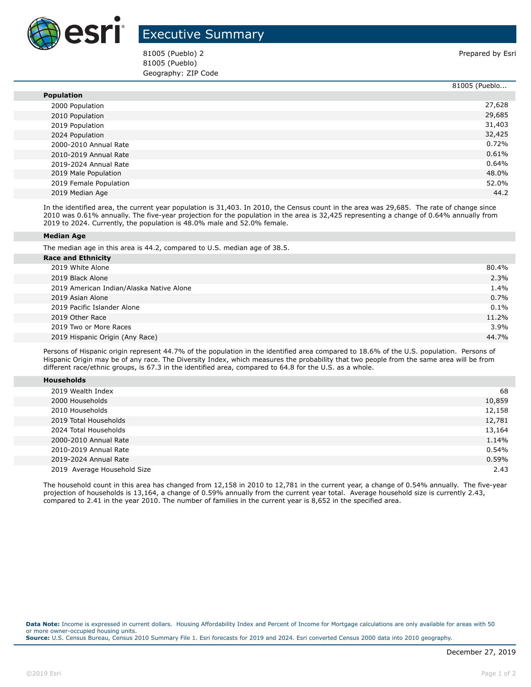

## Executive Summary

81005 (Pueblo) 2 Prepared by Esri 81005 (Pueblo) Geography: ZIP Code

|                        | 81005 (Pueblo |
|------------------------|---------------|
| <b>Population</b>      |               |
| 2000 Population        | 27,628        |
| 2010 Population        | 29,685        |
| 2019 Population        | 31,403        |
| 2024 Population        | 32,425        |
| 2000-2010 Annual Rate  | 0.72%         |
| 2010-2019 Annual Rate  | 0.61%         |
| 2019-2024 Annual Rate  | 0.64%         |
| 2019 Male Population   | 48.0%         |
| 2019 Female Population | 52.0%         |
| 2019 Median Age        | 44.2          |

In the identified area, the current year population is 31,403. In 2010, the Census count in the area was 29,685. The rate of change since 2010 was 0.61% annually. The five-year projection for the population in the area is 32,425 representing a change of 0.64% annually from 2019 to 2024. Currently, the population is 48.0% male and 52.0% female.

## **Median Age**

The median age in this area is 44.2, compared to U.S. median age of 38.5.

| <b>Race and Ethnicity</b>                |         |
|------------------------------------------|---------|
| 2019 White Alone                         | 80.4%   |
| 2019 Black Alone                         | 2.3%    |
| 2019 American Indian/Alaska Native Alone | 1.4%    |
| 2019 Asian Alone                         | 0.7%    |
| 2019 Pacific Islander Alone              | $0.1\%$ |
| 2019 Other Race                          | 11.2%   |
| 2019 Two or More Races                   | 3.9%    |
| 2019 Hispanic Origin (Any Race)          | 44.7%   |
|                                          |         |

Persons of Hispanic origin represent 44.7% of the population in the identified area compared to 18.6% of the U.S. population. Persons of Hispanic Origin may be of any race. The Diversity Index, which measures the probability that two people from the same area will be from different race/ethnic groups, is 67.3 in the identified area, compared to 64.8 for the U.S. as a whole.

| <b>Households</b> |  |  |  |
|-------------------|--|--|--|
|-------------------|--|--|--|

| 2019 Wealth Index           | 68     |
|-----------------------------|--------|
| 2000 Households             | 10,859 |
| 2010 Households             | 12,158 |
| 2019 Total Households       | 12,781 |
| 2024 Total Households       | 13,164 |
| 2000-2010 Annual Rate       | 1.14%  |
| 2010-2019 Annual Rate       | 0.54%  |
| 2019-2024 Annual Rate       | 0.59%  |
| 2019 Average Household Size | 2.43   |

The household count in this area has changed from 12,158 in 2010 to 12,781 in the current year, a change of 0.54% annually. The five-year projection of households is 13,164, a change of 0.59% annually from the current year total. Average household size is currently 2.43, compared to 2.41 in the year 2010. The number of families in the current year is 8,652 in the specified area.

**Data Note:** Income is expressed in current dollars. Housing Affordability Index and Percent of Income for Mortgage calculations are only available for areas with 50 or more owner-occupied housing units. **Source:** U.S. Census Bureau, Census 2010 Summary File 1. Esri forecasts for 2019 and 2024. Esri converted Census 2000 data into 2010 geography.